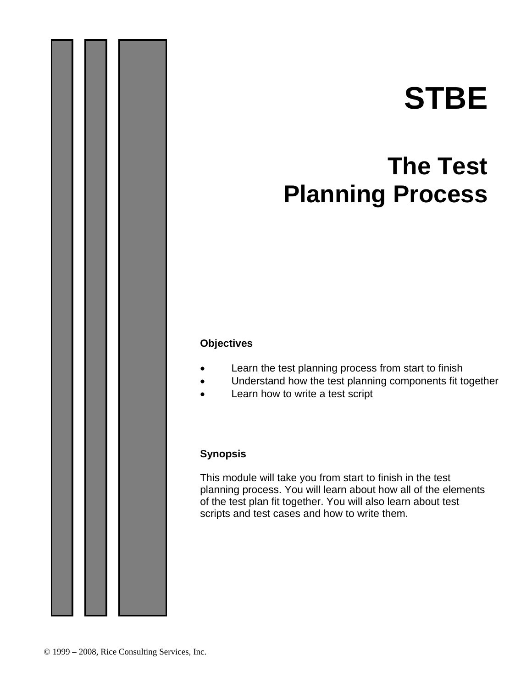# **STBE**

# **The Test Planning Process**

## **Objectives**

- Learn the test planning process from start to finish
- Understand how the test planning components fit together
- Learn how to write a test script

## **Synopsis**

This module will take you from start to finish in the test planning process. You will learn about how all of the elements of the test plan fit together. You will also learn about test scripts and test cases and how to write them.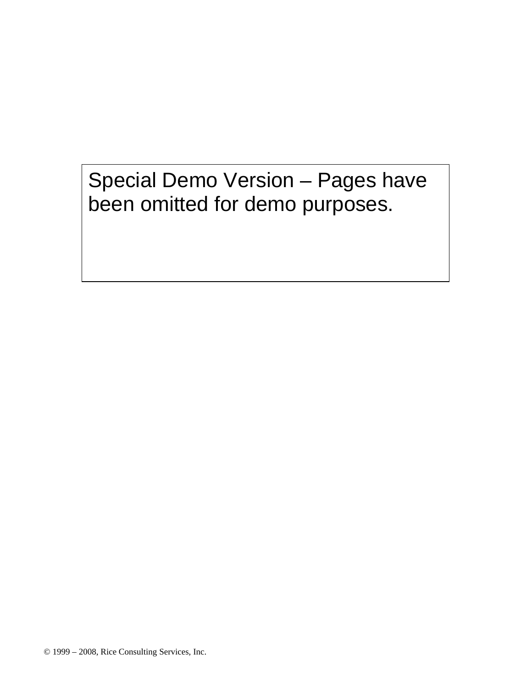Special Demo Version – Pages have been omitted for demo purposes.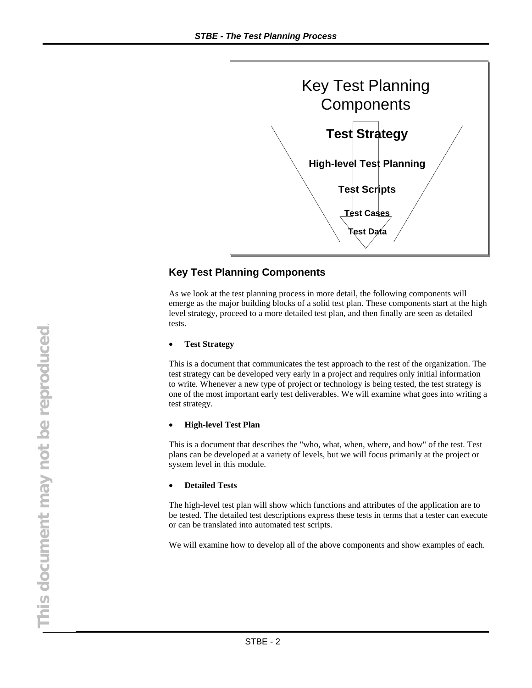

## **Key Test Planning Components**

As we look at the test planning process in more detail, the following components will emerge as the major building blocks of a solid test plan. These components start at the high level strategy, proceed to a more detailed test plan, and then finally are seen as detailed tests.

## • **Test Strategy**

This is a document that communicates the test approach to the rest of the organization. The test strategy can be developed very early in a project and requires only initial information to write. Whenever a new type of project or technology is being tested, the test strategy is one of the most important early test deliverables. We will examine what goes into writing a test strategy.

## • **High-level Test Plan**

This is a document that describes the "who, what, when, where, and how" of the test. Test plans can be developed at a variety of levels, but we will focus primarily at the project or system level in this module.

## • **Detailed Tests**

The high-level test plan will show which functions and attributes of the application are to be tested. The detailed test descriptions express these tests in terms that a tester can execute or can be translated into automated test scripts.

We will examine how to develop all of the above components and show examples of each.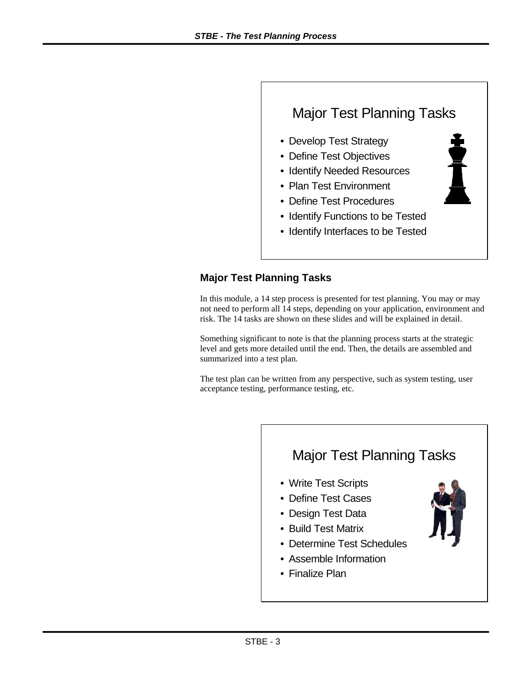## Major Test Planning Tasks

- Develop Test Strategy
- Define Test Objectives
- Identify Needed Resources
- Plan Test Environment
- Define Test Procedures
- Identify Functions to be Tested
- Identify Interfaces to be Tested

## **Major Test Planning Tasks**

In this module, a 14 step process is presented for test planning. You may or may not need to perform all 14 steps, depending on your application, environment and risk. The 14 tasks are shown on these slides and will be explained in detail.

Something significant to note is that the planning process starts at the strategic level and gets more detailed until the end. Then, the details are assembled and summarized into a test plan.

The test plan can be written from any perspective, such as system testing, user acceptance testing, performance testing, etc.

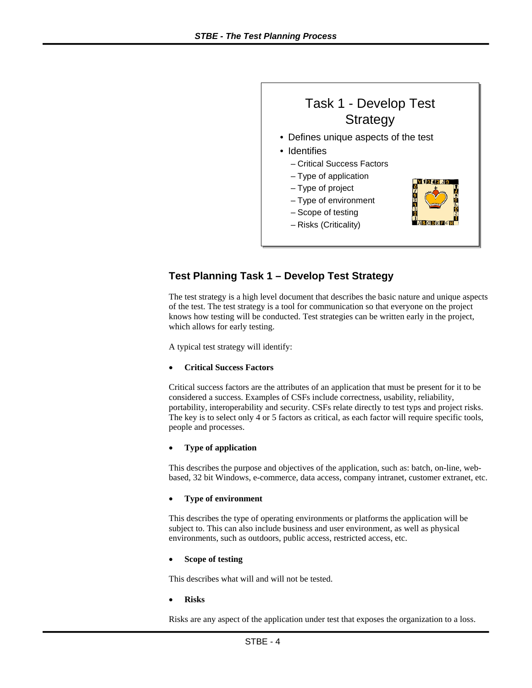

## **Test Planning Task 1 – Develop Test Strategy**

The test strategy is a high level document that describes the basic nature and unique aspects of the test. The test strategy is a tool for communication so that everyone on the project knows how testing will be conducted. Test strategies can be written early in the project, which allows for early testing.

A typical test strategy will identify:

## • **Critical Success Factors**

Critical success factors are the attributes of an application that must be present for it to be considered a success. Examples of CSFs include correctness, usability, reliability, portability, interoperability and security. CSFs relate directly to test typs and project risks. The key is to select only 4 or 5 factors as critical, as each factor will require specific tools, people and processes.

## • **Type of application**

This describes the purpose and objectives of the application, such as: batch, on-line, webbased, 32 bit Windows, e-commerce, data access, company intranet, customer extranet, etc.

## • **Type of environment**

This describes the type of operating environments or platforms the application will be subject to. This can also include business and user environment, as well as physical environments, such as outdoors, public access, restricted access, etc.

## • **Scope of testing**

This describes what will and will not be tested.

• **Risks** 

Risks are any aspect of the application under test that exposes the organization to a loss.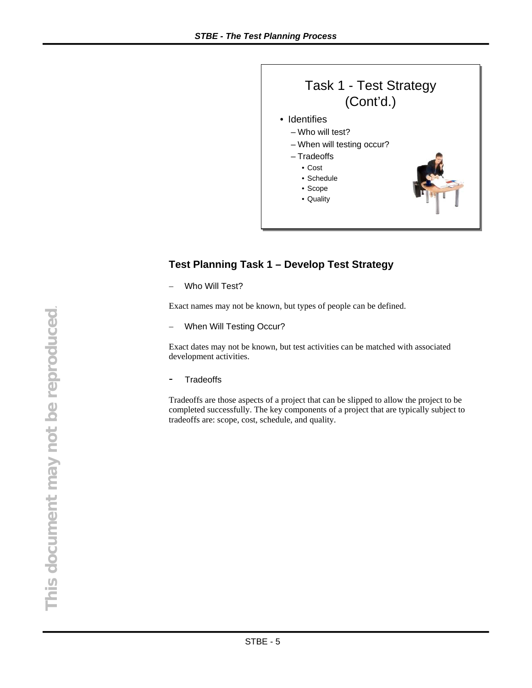

## **Test Planning Task 1 – Develop Test Strategy**

− Who Will Test?

Exact names may not be known, but types of people can be defined.

− When Will Testing Occur?

Exact dates may not be known, but test activities can be matched with associated development activities.

**Tradeoffs** 

Tradeoffs are those aspects of a project that can be slipped to allow the project to be completed successfully. The key components of a project that are typically subject to tradeoffs are: scope, cost, schedule, and quality.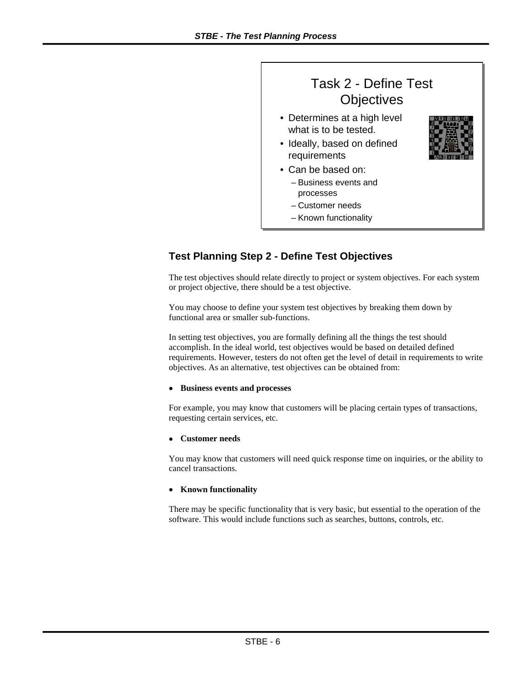

## **Test Planning Step 2 - Define Test Objectives**

The test objectives should relate directly to project or system objectives. For each system or project objective, there should be a test objective.

You may choose to define your system test objectives by breaking them down by functional area or smaller sub-functions.

In setting test objectives, you are formally defining all the things the test should accomplish. In the ideal world, test objectives would be based on detailed defined requirements. However, testers do not often get the level of detail in requirements to write objectives. As an alternative, test objectives can be obtained from:

## • **Business events and processes**

For example, you may know that customers will be placing certain types of transactions, requesting certain services, etc.

## • **Customer needs**

You may know that customers will need quick response time on inquiries, or the ability to cancel transactions.

## • **Known functionality**

There may be specific functionality that is very basic, but essential to the operation of the software. This would include functions such as searches, buttons, controls, etc.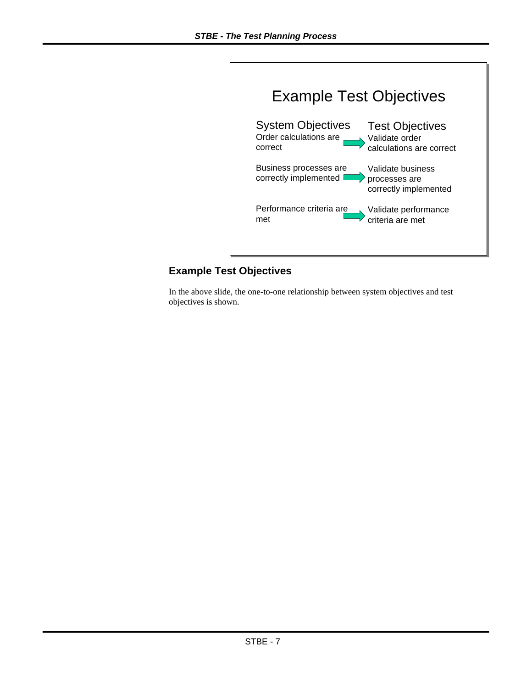

## **Example Test Objectives**

In the above slide, the one-to-one relationship between system objectives and test objectives is shown.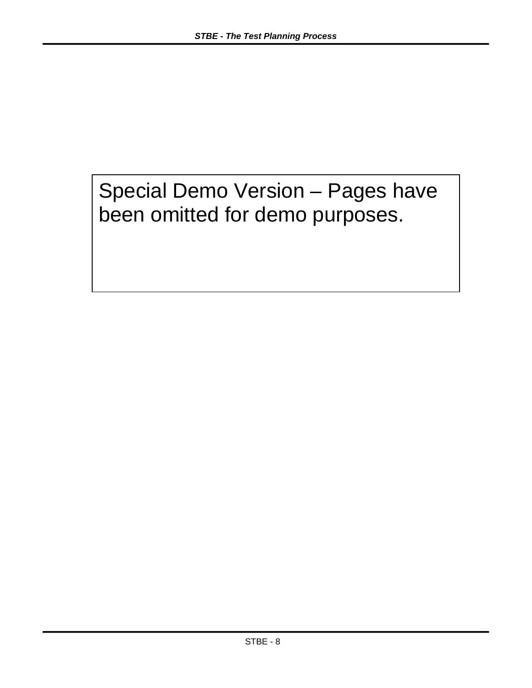## Special Demo Version – Pages have been omitted for demo purposes.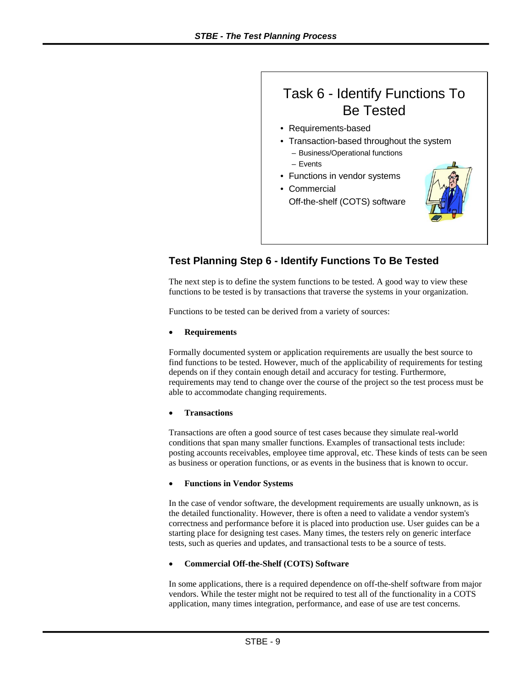## Task 6 - Identify Functions To Be Tested • Requirements-based • Transaction-based throughout the system

- Business/Operational functions
	- Events
- Functions in vendor systems
- Commercial Off-the-shelf (COTS) software



## **Test Planning Step 6 - Identify Functions To Be Tested**

The next step is to define the system functions to be tested. A good way to view these functions to be tested is by transactions that traverse the systems in your organization.

Functions to be tested can be derived from a variety of sources:

## • **Requirements**

Formally documented system or application requirements are usually the best source to find functions to be tested. However, much of the applicability of requirements for testing depends on if they contain enough detail and accuracy for testing. Furthermore, requirements may tend to change over the course of the project so the test process must be able to accommodate changing requirements.

## • **Transactions**

Transactions are often a good source of test cases because they simulate real-world conditions that span many smaller functions. Examples of transactional tests include: posting accounts receivables, employee time approval, etc. These kinds of tests can be seen as business or operation functions, or as events in the business that is known to occur.

## • **Functions in Vendor Systems**

In the case of vendor software, the development requirements are usually unknown, as is the detailed functionality. However, there is often a need to validate a vendor system's correctness and performance before it is placed into production use. User guides can be a starting place for designing test cases. Many times, the testers rely on generic interface tests, such as queries and updates, and transactional tests to be a source of tests.

## • **Commercial Off-the-Shelf (COTS) Software**

In some applications, there is a required dependence on off-the-shelf software from major vendors. While the tester might not be required to test all of the functionality in a COTS application, many times integration, performance, and ease of use are test concerns.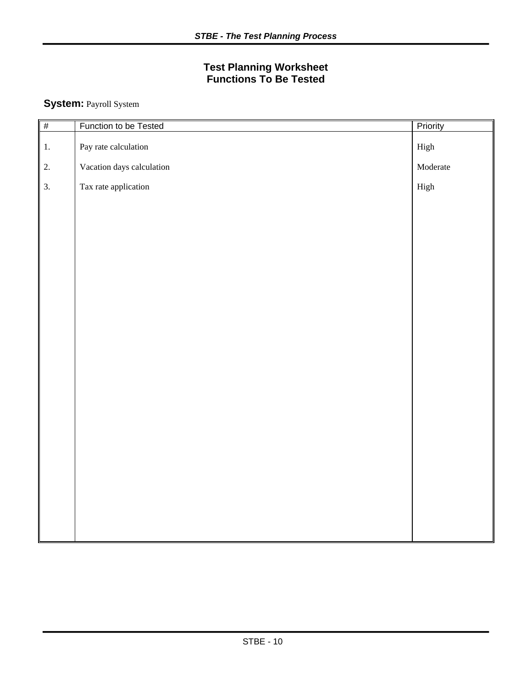## **Test Planning Worksheet Functions To Be Tested**

## **System:** Payroll System

| $\frac{1}{2}$    | Function to be Tested     | Priority |
|------------------|---------------------------|----------|
| 1.               | Pay rate calculation      | High     |
| 2.               | Vacation days calculation | Moderate |
| $\overline{3}$ . | Tax rate application      | High     |
|                  |                           |          |
|                  |                           |          |
|                  |                           |          |
|                  |                           |          |
|                  |                           |          |
|                  |                           |          |
|                  |                           |          |
|                  |                           |          |
|                  |                           |          |
|                  |                           |          |
|                  |                           |          |
|                  |                           |          |
|                  |                           |          |
|                  |                           |          |
|                  |                           |          |
|                  |                           |          |
|                  |                           |          |
|                  |                           |          |
|                  |                           |          |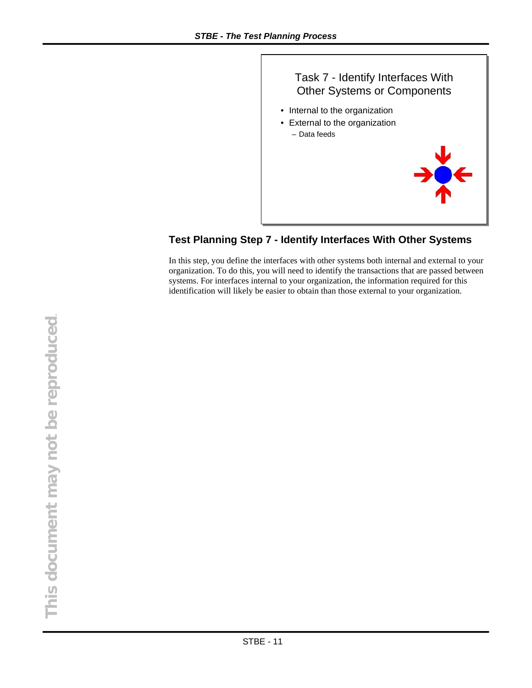

## **Test Planning Step 7 - Identify Interfaces With Other Systems**

In this step, you define the interfaces with other systems both internal and external to your organization. To do this, you will need to identify the transactions that are passed between systems. For interfaces internal to your organization, the information required for this identification will likely be easier to obtain than those external to your organization.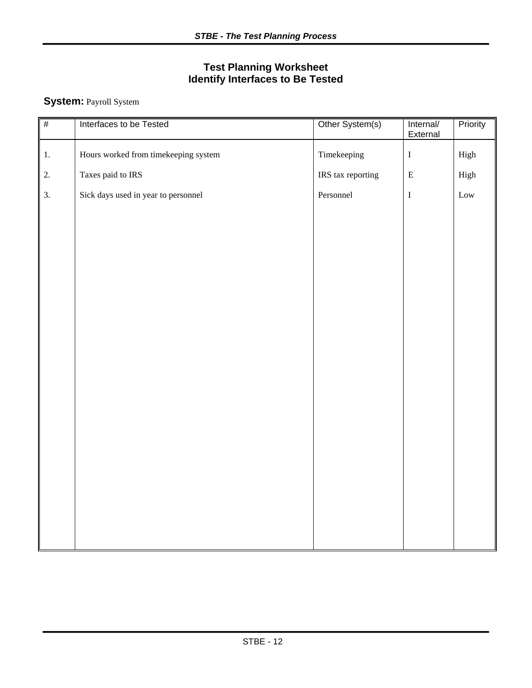## **Test Planning Worksheet Identify Interfaces to Be Tested**

## **System:** Payroll System

| $\overline{\#}$ | Interfaces to be Tested              | Other System(s)   | Internal/<br>External | Priority     |
|-----------------|--------------------------------------|-------------------|-----------------------|--------------|
| $1. \,$         | Hours worked from timekeeping system | Timekeeping       | $\bf I$               | High         |
| 2.              | Taxes paid to IRS                    | IRS tax reporting | ${\bf E}$             | High         |
| 3.              | Sick days used in year to personnel  | Personnel         | $\bf I$               | $_{\rm Low}$ |
|                 |                                      |                   |                       |              |
|                 |                                      |                   |                       |              |
|                 |                                      |                   |                       |              |
|                 |                                      |                   |                       |              |
|                 |                                      |                   |                       |              |
|                 |                                      |                   |                       |              |
|                 |                                      |                   |                       |              |
|                 |                                      |                   |                       |              |
|                 |                                      |                   |                       |              |
|                 |                                      |                   |                       |              |
|                 |                                      |                   |                       |              |
|                 |                                      |                   |                       |              |
|                 |                                      |                   |                       |              |
|                 |                                      |                   |                       |              |
|                 |                                      |                   |                       |              |
|                 |                                      |                   |                       |              |
|                 |                                      |                   |                       |              |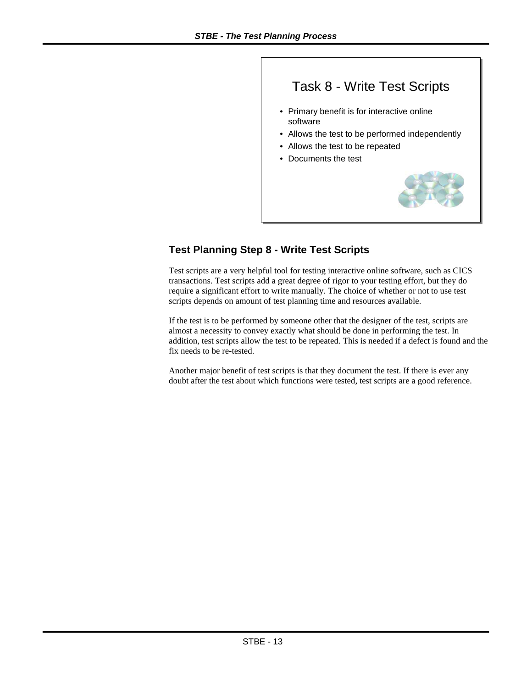## Task 8 - Write Test Scripts Task 8 - Write Test Scripts

- Primary benefit is for interactive online Primary benefit is for interactive online software software
- Allows the test to be performed independently Allows the test to be performed independently
- Allows the test to be repeated Allows the test to be repeated
- Documents the test Documents the test



## **Test Planning Step 8 - Write Test Scripts**

Test scripts are a very helpful tool for testing interactive online software, such as CICS transactions. Test scripts add a great degree of rigor to your testing effort, but they do require a significant effort to write manually. The choice of whether or not to use test scripts depends on amount of test planning time and resources available.

If the test is to be performed by someone other that the designer of the test, scripts are almost a necessity to convey exactly what should be done in performing the test. In addition, test scripts allow the test to be repeated. This is needed if a defect is found and the fix needs to be re-tested.

Another major benefit of test scripts is that they document the test. If there is ever any doubt after the test about which functions were tested, test scripts are a good reference.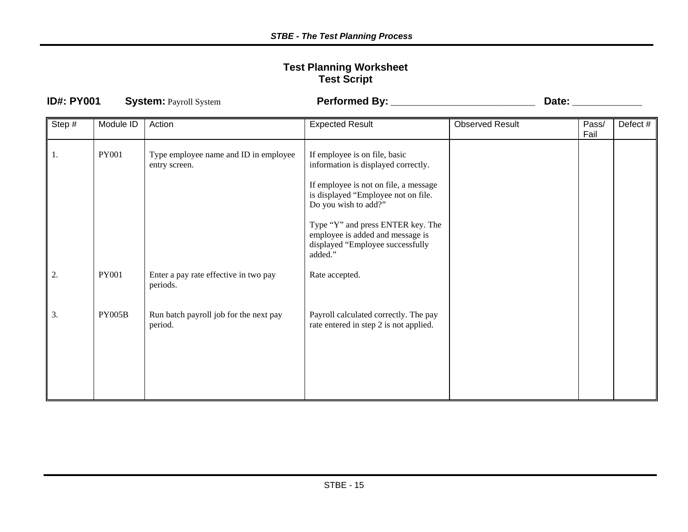## **Test Planning Worksheet Test Script**

| <b>ID#: PY001</b> |               | <b>System: Payroll System</b>                          | <b>Performed By:</b>                                                                                                                                                                                                                                                                                 | Date:                  |               |          |
|-------------------|---------------|--------------------------------------------------------|------------------------------------------------------------------------------------------------------------------------------------------------------------------------------------------------------------------------------------------------------------------------------------------------------|------------------------|---------------|----------|
| Step #            | Module ID     | Action                                                 | <b>Expected Result</b>                                                                                                                                                                                                                                                                               | <b>Observed Result</b> | Pass/<br>Fail | Defect # |
| 1.                | PY001         | Type employee name and ID in employee<br>entry screen. | If employee is on file, basic<br>information is displayed correctly.<br>If employee is not on file, a message<br>is displayed "Employee not on file.<br>Do you wish to add?"<br>Type "Y" and press ENTER key. The<br>employee is added and message is<br>displayed "Employee successfully<br>added." |                        |               |          |
| 2.                | PY001         | Enter a pay rate effective in two pay<br>periods.      | Rate accepted.                                                                                                                                                                                                                                                                                       |                        |               |          |
| 3.                | <b>PY005B</b> | Run batch payroll job for the next pay<br>period.      | Payroll calculated correctly. The pay<br>rate entered in step 2 is not applied.                                                                                                                                                                                                                      |                        |               |          |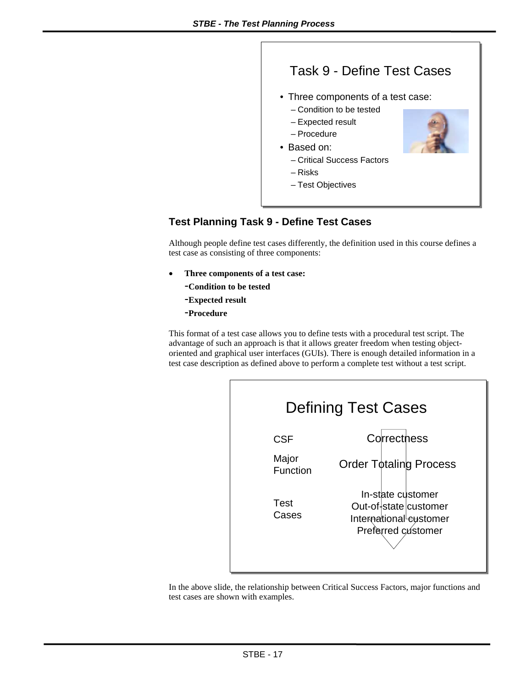

## **Test Planning Task 9 - Define Test Cases**

Although people define test cases differently, the definition used in this course defines a test case as consisting of three components:

- **Three components of a test case:** 
	- -**Condition to be tested**
	- -**Expected result**
	- -**Procedure**

This format of a test case allows you to define tests with a procedural test script. The advantage of such an approach is that it allows greater freedom when testing objectoriented and graphical user interfaces (GUIs). There is enough detailed information in a test case description as defined above to perform a complete test without a test script.



In the above slide, the relationship between Critical Success Factors, major functions and test cases are shown with examples.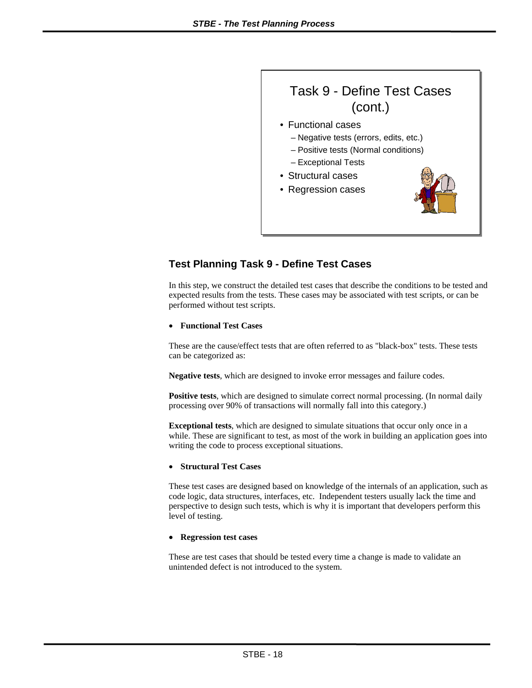

## **Test Planning Task 9 - Define Test Cases**

In this step, we construct the detailed test cases that describe the conditions to be tested and expected results from the tests. These cases may be associated with test scripts, or can be performed without test scripts.

#### • **Functional Test Cases**

These are the cause/effect tests that are often referred to as "black-box" tests. These tests can be categorized as:

**Negative tests**, which are designed to invoke error messages and failure codes.

**Positive tests**, which are designed to simulate correct normal processing. (In normal daily processing over 90% of transactions will normally fall into this category.)

**Exceptional tests**, which are designed to simulate situations that occur only once in a while. These are significant to test, as most of the work in building an application goes into writing the code to process exceptional situations.

## • **Structural Test Cases**

These test cases are designed based on knowledge of the internals of an application, such as code logic, data structures, interfaces, etc. Independent testers usually lack the time and perspective to design such tests, which is why it is important that developers perform this level of testing.

## • **Regression test cases**

These are test cases that should be tested every time a change is made to validate an unintended defect is not introduced to the system.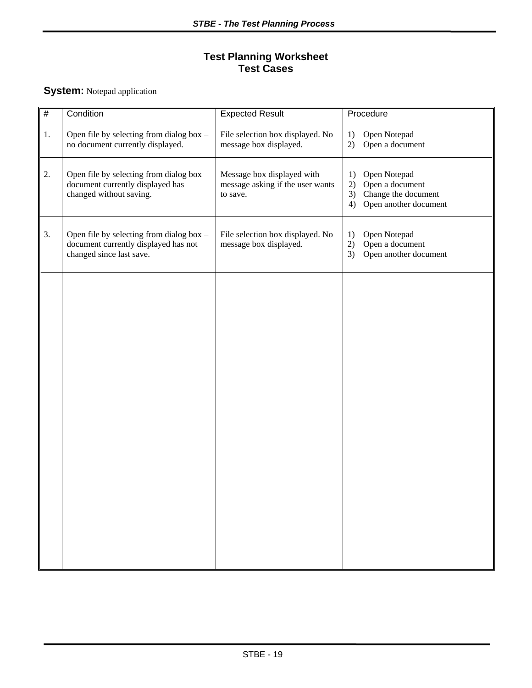## **Test Planning Worksheet Test Cases**

## **System:** Notepad application

| $\#$ | Condition                                                                                                    | <b>Expected Result</b>                                                     | Procedure                                                                                            |
|------|--------------------------------------------------------------------------------------------------------------|----------------------------------------------------------------------------|------------------------------------------------------------------------------------------------------|
| 1.   | Open file by selecting from dialog box -<br>no document currently displayed.                                 | File selection box displayed. No<br>message box displayed.                 | Open Notepad<br>1)<br>2)<br>Open a document                                                          |
| 2.   | Open file by selecting from dialog box -<br>document currently displayed has<br>changed without saving.      | Message box displayed with<br>message asking if the user wants<br>to save. | Open Notepad<br>1)<br>Open a document<br>2)<br>Change the document<br>3)<br>4) Open another document |
| 3.   | Open file by selecting from dialog box -<br>document currently displayed has not<br>changed since last save. | File selection box displayed. No<br>message box displayed.                 | Open Notepad<br>1)<br>Open a document<br>2)<br>3)<br>Open another document                           |
|      |                                                                                                              |                                                                            |                                                                                                      |
|      |                                                                                                              |                                                                            |                                                                                                      |
|      |                                                                                                              |                                                                            |                                                                                                      |
|      |                                                                                                              |                                                                            |                                                                                                      |
|      |                                                                                                              |                                                                            |                                                                                                      |
|      |                                                                                                              |                                                                            |                                                                                                      |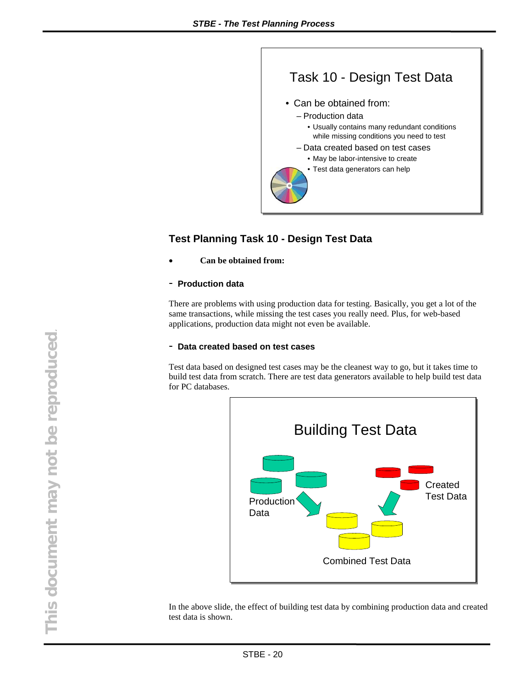

## **Test Planning Task 10 - Design Test Data**

- **Can be obtained from:**
- - **Production data**

There are problems with using production data for testing. Basically, you get a lot of the same transactions, while missing the test cases you really need. Plus, for web-based applications, production data might not even be available.

## - **Data created based on test cases**

Test data based on designed test cases may be the cleanest way to go, but it takes time to build test data from scratch. There are test data generators available to help build test data for PC databases.



In the above slide, the effect of building test data by combining production data and created test data is shown.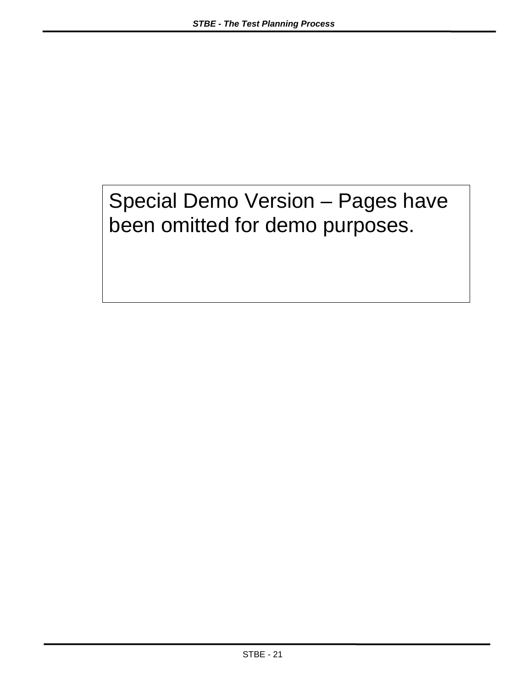## Special Demo Version – Pages have been omitted for demo purposes.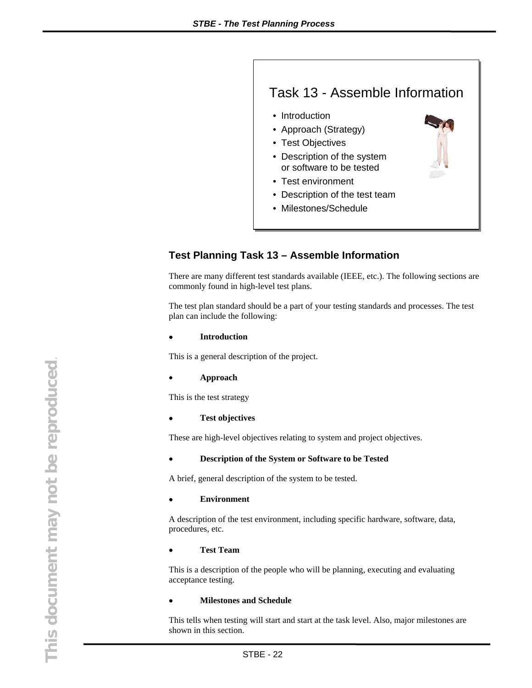# Task 13 - Assemble Information Task 13 - Assemble Information

- Introduction Introduction
- Approach (Strategy) Approach (Strategy)
- Test Objectives Test Objectives
- Description of the system Description of the system or software to be tested or software to be tested
- Test environment Test environment
- Description of the test team Description of the test team
- Milestones/Schedule Milestones/Schedule

## **Test Planning Task 13 – Assemble Information**

There are many different test standards available (IEEE, etc.). The following sections are commonly found in high-level test plans.

The test plan standard should be a part of your testing standards and processes. The test plan can include the following:

#### • **Introduction**

This is a general description of the project.

## • **Approach**

This is the test strategy

## • **Test objectives**

These are high-level objectives relating to system and project objectives.

## • **Description of the System or Software to be Tested**

A brief, general description of the system to be tested.

## • **Environment**

A description of the test environment, including specific hardware, software, data, procedures, etc.

## • **Test Team**

This is a description of the people who will be planning, executing and evaluating acceptance testing.

## • **Milestones and Schedule**

This tells when testing will start and start at the task level. Also, major milestones are shown in this section.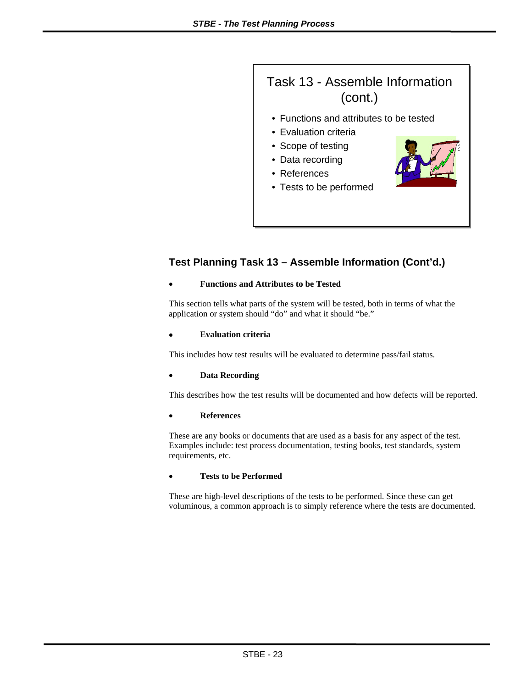

## **Test Planning Task 13 – Assemble Information (Cont'd.)**

## • **Functions and Attributes to be Tested**

This section tells what parts of the system will be tested, both in terms of what the application or system should "do" and what it should "be."

## • **Evaluation criteria**

This includes how test results will be evaluated to determine pass/fail status.

## • **Data Recording**

This describes how the test results will be documented and how defects will be reported.

## • **References**

These are any books or documents that are used as a basis for any aspect of the test. Examples include: test process documentation, testing books, test standards, system requirements, etc.

## • **Tests to be Performed**

These are high-level descriptions of the tests to be performed. Since these can get voluminous, a common approach is to simply reference where the tests are documented.